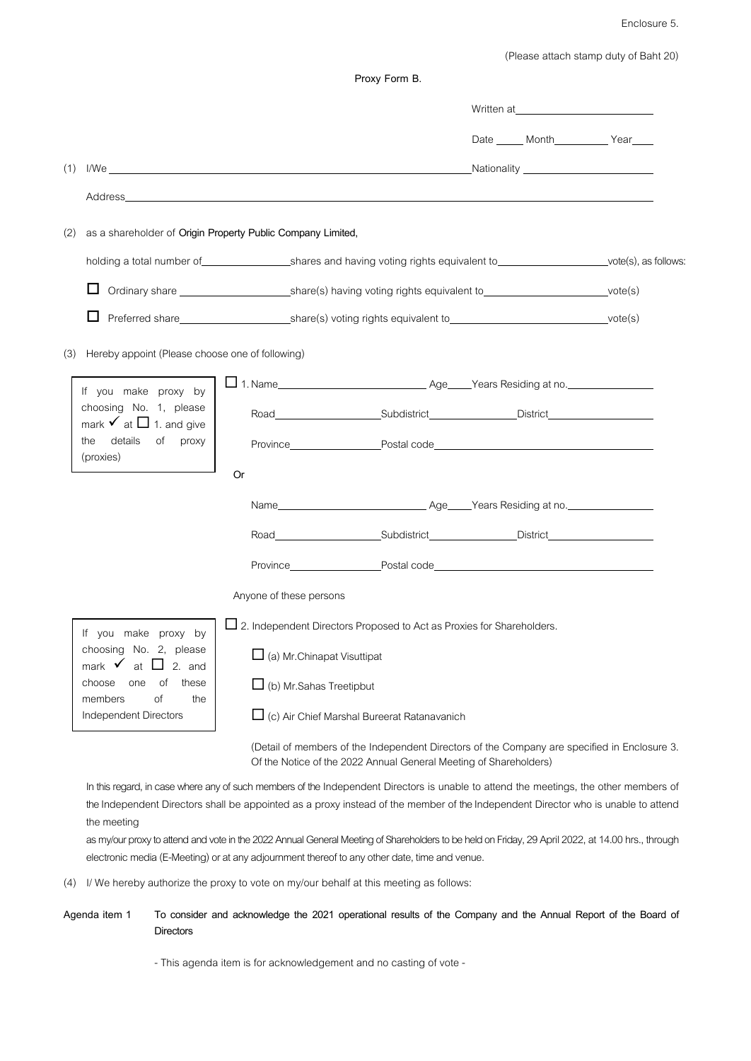Enclosure 5.

(Please attach stamp duty of Baht 20)

|     |                                                                                                                                                                                                                                |                                                                                                                         |                                    |                                                                                                                                                                   |  |  | Written at the contract of the contract of the contract of the contract of the contract of the contract of the contract of the contract of the contract of the contract of the contract of the contract of the contract of the |  |
|-----|--------------------------------------------------------------------------------------------------------------------------------------------------------------------------------------------------------------------------------|-------------------------------------------------------------------------------------------------------------------------|------------------------------------|-------------------------------------------------------------------------------------------------------------------------------------------------------------------|--|--|--------------------------------------------------------------------------------------------------------------------------------------------------------------------------------------------------------------------------------|--|
|     |                                                                                                                                                                                                                                |                                                                                                                         |                                    |                                                                                                                                                                   |  |  | Date Month Year                                                                                                                                                                                                                |  |
| (1) |                                                                                                                                                                                                                                |                                                                                                                         |                                    |                                                                                                                                                                   |  |  |                                                                                                                                                                                                                                |  |
|     | Address and the contract of the contract of the contract of the contract of the contract of the contract of the contract of the contract of the contract of the contract of the contract of the contract of the contract of th |                                                                                                                         |                                    |                                                                                                                                                                   |  |  |                                                                                                                                                                                                                                |  |
| (2) | as a shareholder of Origin Property Public Company Limited,                                                                                                                                                                    |                                                                                                                         |                                    |                                                                                                                                                                   |  |  |                                                                                                                                                                                                                                |  |
|     | holding a total number of same shares and having voting rights equivalent to vertex vote(s), as follows:                                                                                                                       |                                                                                                                         |                                    |                                                                                                                                                                   |  |  |                                                                                                                                                                                                                                |  |
|     | ப                                                                                                                                                                                                                              | Ordinary share _____________________________share(s) having voting rights equivalent to_________________________vote(s) |                                    |                                                                                                                                                                   |  |  |                                                                                                                                                                                                                                |  |
|     |                                                                                                                                                                                                                                |                                                                                                                         |                                    |                                                                                                                                                                   |  |  |                                                                                                                                                                                                                                |  |
| (3) | Hereby appoint (Please choose one of following)                                                                                                                                                                                |                                                                                                                         |                                    |                                                                                                                                                                   |  |  |                                                                                                                                                                                                                                |  |
|     | If you make proxy by<br>choosing No. 1, please<br>mark $\checkmark$ at $\Box$ 1. and give<br>details<br>of<br>proxy<br>the                                                                                                     |                                                                                                                         |                                    |                                                                                                                                                                   |  |  |                                                                                                                                                                                                                                |  |
|     |                                                                                                                                                                                                                                |                                                                                                                         |                                    | Road Subdistrict District District                                                                                                                                |  |  |                                                                                                                                                                                                                                |  |
|     |                                                                                                                                                                                                                                |                                                                                                                         |                                    | Province <b>Example 2018</b> Postal code <b>Postal code</b>                                                                                                       |  |  |                                                                                                                                                                                                                                |  |
|     | (proxies)                                                                                                                                                                                                                      | <b>Or</b>                                                                                                               |                                    |                                                                                                                                                                   |  |  |                                                                                                                                                                                                                                |  |
|     |                                                                                                                                                                                                                                |                                                                                                                         |                                    |                                                                                                                                                                   |  |  |                                                                                                                                                                                                                                |  |
|     |                                                                                                                                                                                                                                |                                                                                                                         |                                    | Road Subdistrict District District                                                                                                                                |  |  |                                                                                                                                                                                                                                |  |
|     |                                                                                                                                                                                                                                |                                                                                                                         |                                    |                                                                                                                                                                   |  |  |                                                                                                                                                                                                                                |  |
|     |                                                                                                                                                                                                                                |                                                                                                                         | Anyone of these persons            |                                                                                                                                                                   |  |  |                                                                                                                                                                                                                                |  |
|     | If you make proxy by<br>choosing No. 2, please<br>mark $\checkmark$ at $\Box$<br>$2.$ and<br>choose<br>these<br>one<br>οf<br>the<br>members<br>of<br>Independent Directors                                                     |                                                                                                                         |                                    | $\square$ 2. Independent Directors Proposed to Act as Proxies for Shareholders.                                                                                   |  |  |                                                                                                                                                                                                                                |  |
|     |                                                                                                                                                                                                                                | $\overline{\phantom{a}}$                                                                                                | $\Box$ (a) Mr. Chinapat Visuttipat |                                                                                                                                                                   |  |  |                                                                                                                                                                                                                                |  |
|     |                                                                                                                                                                                                                                |                                                                                                                         | $\Box$ (b) Mr. Sahas Treetipbut    |                                                                                                                                                                   |  |  |                                                                                                                                                                                                                                |  |
|     |                                                                                                                                                                                                                                |                                                                                                                         |                                    | $\Box$ (c) Air Chief Marshal Bureerat Ratanavanich                                                                                                                |  |  |                                                                                                                                                                                                                                |  |
|     |                                                                                                                                                                                                                                |                                                                                                                         |                                    | (Detail of members of the Independent Directors of the Company are specified in Enclosure 3.<br>Of the Notice of the 2022 Annual General Meeting of Shareholders) |  |  |                                                                                                                                                                                                                                |  |

**Proxy Form B.**

In this regard, in case where any of such members of the Independent Directors is unable to attend the meetings, the other members of the Independent Directors shall be appointed as a proxy instead of the member of the Independent Director who is unable to attend the meeting

as my/our proxy to attend and vote in the 2022 Annual General Meeting of Shareholders to be held on Friday, 29 April 2022, at 14.00 hrs., through electronic media (E-Meeting) or at any adjournment thereof to any other date, time and venue.

(4) I/ We hereby authorize the proxy to vote on my/our behalf at this meeting as follows:

## **Agenda item 1 To consider and acknowledge the 2021 operational results of the Company and the Annual Report of the Board of Directors**

- This agenda item is for acknowledgement and no casting of vote -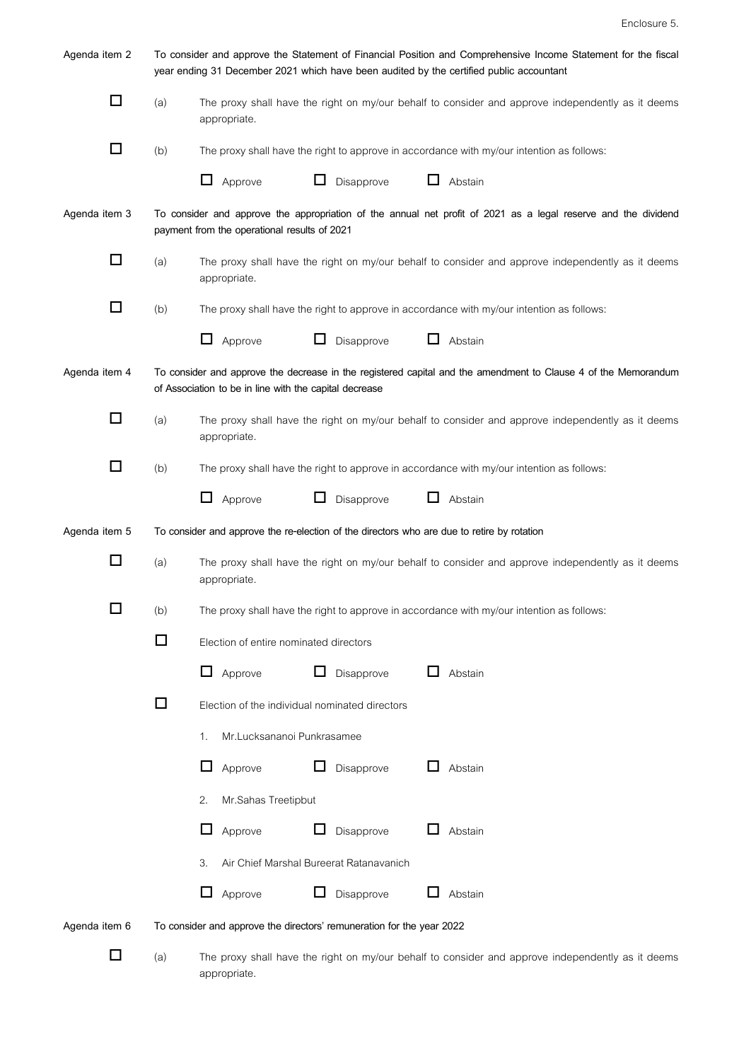| Agenda item 2 | To consider and approve the Statement of Financial Position and Comprehensive Income Statement for the fiscal<br>year ending 31 December 2021 which have been audited by the certified public accountant |                                                                                                                                                                          |  |  |  |  |  |
|---------------|----------------------------------------------------------------------------------------------------------------------------------------------------------------------------------------------------------|--------------------------------------------------------------------------------------------------------------------------------------------------------------------------|--|--|--|--|--|
| □             | (a)                                                                                                                                                                                                      | The proxy shall have the right on my/our behalf to consider and approve independently as it deems<br>appropriate.                                                        |  |  |  |  |  |
| □             | (b)                                                                                                                                                                                                      | The proxy shall have the right to approve in accordance with my/our intention as follows:                                                                                |  |  |  |  |  |
|               |                                                                                                                                                                                                          | ப<br>Approve<br>Disapprove<br>ப<br>Abstain                                                                                                                               |  |  |  |  |  |
| Agenda item 3 | To consider and approve the appropriation of the annual net profit of 2021 as a legal reserve and the dividend<br>payment from the operational results of 2021                                           |                                                                                                                                                                          |  |  |  |  |  |
| □             | (a)                                                                                                                                                                                                      | The proxy shall have the right on my/our behalf to consider and approve independently as it deems<br>appropriate.                                                        |  |  |  |  |  |
| □             | (b)                                                                                                                                                                                                      | The proxy shall have the right to approve in accordance with my/our intention as follows:                                                                                |  |  |  |  |  |
|               |                                                                                                                                                                                                          | Approve<br>Disapprove<br>Abstain<br>ப                                                                                                                                    |  |  |  |  |  |
| Agenda item 4 |                                                                                                                                                                                                          | To consider and approve the decrease in the registered capital and the amendment to Clause 4 of the Memorandum<br>of Association to be in line with the capital decrease |  |  |  |  |  |
| □             | (a)                                                                                                                                                                                                      | The proxy shall have the right on my/our behalf to consider and approve independently as it deems<br>appropriate.                                                        |  |  |  |  |  |
| □             | (b)                                                                                                                                                                                                      | The proxy shall have the right to approve in accordance with my/our intention as follows:                                                                                |  |  |  |  |  |
|               |                                                                                                                                                                                                          | ⊔<br>Approve<br>ப<br>Disapprove<br>ப<br>Abstain                                                                                                                          |  |  |  |  |  |
| Agenda item 5 |                                                                                                                                                                                                          | To consider and approve the re-election of the directors who are due to retire by rotation                                                                               |  |  |  |  |  |
| $\Box$        | (a)                                                                                                                                                                                                      | The proxy shall have the right on my/our behalf to consider and approve independently as it deems<br>appropriate.                                                        |  |  |  |  |  |
|               | (b)                                                                                                                                                                                                      | The proxy shall have the right to approve in accordance with my/our intention as follows:                                                                                |  |  |  |  |  |
|               | ப                                                                                                                                                                                                        | Election of entire nominated directors                                                                                                                                   |  |  |  |  |  |
|               |                                                                                                                                                                                                          | Approve<br>Disapprove<br>ш<br>Abstain<br>ப                                                                                                                               |  |  |  |  |  |
|               | $\Box$                                                                                                                                                                                                   | Election of the individual nominated directors                                                                                                                           |  |  |  |  |  |
|               |                                                                                                                                                                                                          | Mr.Lucksananoi Punkrasamee<br>1.                                                                                                                                         |  |  |  |  |  |
|               |                                                                                                                                                                                                          | Disapprove<br>$\mathbf{L}$<br>Abstain<br>Approve                                                                                                                         |  |  |  |  |  |
|               |                                                                                                                                                                                                          | Mr.Sahas Treetipbut<br>2.                                                                                                                                                |  |  |  |  |  |
|               |                                                                                                                                                                                                          | Abstain<br>ப<br>Approve<br>Disapprove                                                                                                                                    |  |  |  |  |  |
|               |                                                                                                                                                                                                          | Air Chief Marshal Bureerat Ratanavanich<br>3.                                                                                                                            |  |  |  |  |  |
|               |                                                                                                                                                                                                          | Disapprove<br>Approve<br>Abstain                                                                                                                                         |  |  |  |  |  |
| Agenda item 6 |                                                                                                                                                                                                          | To consider and approve the directors' remuneration for the year 2022                                                                                                    |  |  |  |  |  |
| □             | (a)                                                                                                                                                                                                      | The proxy shall have the right on my/our behalf to consider and approve independently as it deems                                                                        |  |  |  |  |  |

appropriate.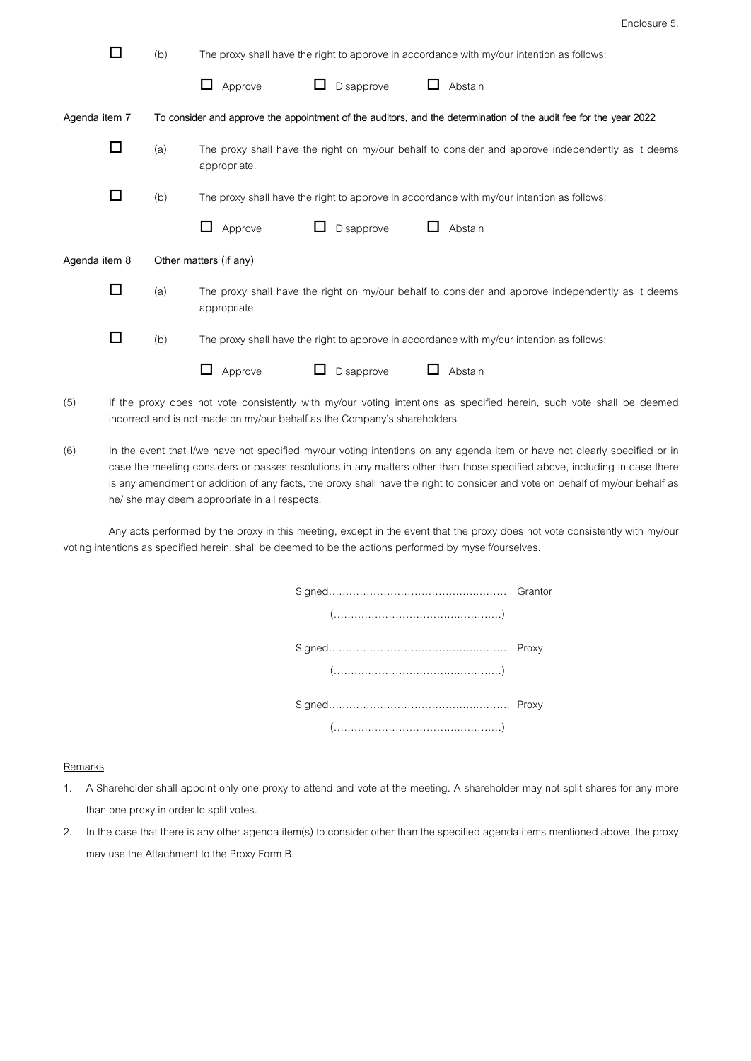| Enclosure 5. |  |
|--------------|--|
|--------------|--|

| П             | (b)                    | The proxy shall have the right to approve in accordance with my/our intention as follows:                         |  |  |  |  |
|---------------|------------------------|-------------------------------------------------------------------------------------------------------------------|--|--|--|--|
|               |                        | Disapprove<br>Abstain<br>Approve                                                                                  |  |  |  |  |
| Agenda item 7 |                        | To consider and approve the appointment of the auditors, and the determination of the audit fee for the year 2022 |  |  |  |  |
| □             | (a)                    | The proxy shall have the right on my/our behalf to consider and approve independently as it deems<br>appropriate. |  |  |  |  |
| □             | (b)                    | The proxy shall have the right to approve in accordance with my/our intention as follows:                         |  |  |  |  |
|               |                        | Disapprove<br>Approve<br>Abstain<br>ப                                                                             |  |  |  |  |
| Agenda item 8 | Other matters (if any) |                                                                                                                   |  |  |  |  |
| □             | (a)                    | The proxy shall have the right on my/our behalf to consider and approve independently as it deems<br>appropriate. |  |  |  |  |
| □             | (b)                    | The proxy shall have the right to approve in accordance with my/our intention as follows:                         |  |  |  |  |
|               |                        | Approve<br>Disapprove<br>Abstain                                                                                  |  |  |  |  |

- (5) If the proxy does not vote consistently with my/our voting intentions as specified herein, such vote shall be deemed incorrect and is not made on my/our behalf as the Company's shareholders
- (6) In the event that I/we have not specified my/our voting intentions on any agenda item or have not clearly specified or in case the meeting considers or passes resolutions in any matters other than those specified above, including in case there is any amendment or addition of any facts, the proxy shall have the right to consider and vote on behalf of my/our behalf as he/ she may deem appropriate in all respects.

Any acts performed by the proxy in this meeting, except in the event that the proxy does not vote consistently with my/our voting intentions as specified herein, shall be deemed to be the actions performed by myself/ourselves.

| $(")$ |  |
|-------|--|

## **Remarks**

- 1. A Shareholder shall appoint only one proxy to attend and vote at the meeting. A shareholder may not split shares for any more than one proxy in order to split votes.
- 2. In the case that there is any other agendaitem(s) to consider other than the specified agendaitems mentioned above, the proxy may use the Attachment to the Proxy Form B.